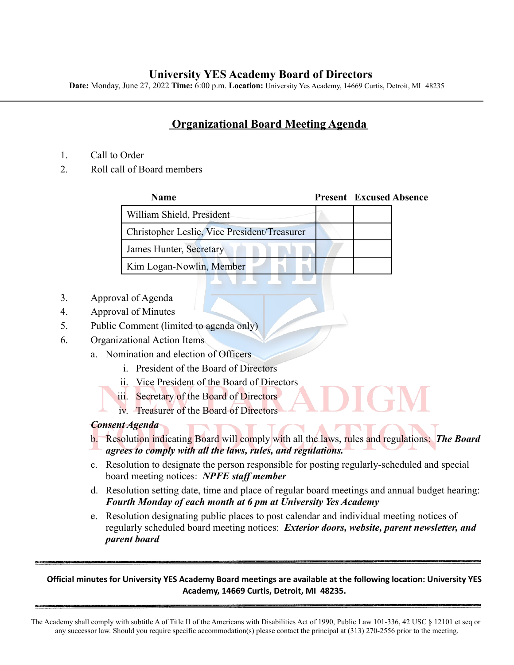## **University YES Academy Board of Directors**

**Date:** Monday, June 27, 2022 **Time:** 6:00 p.m. **Location:** University Yes Academy, 14669 Curtis, Detroit, MI 48235

# **Organizational Board Meeting Agenda**

- 1. Call to Order
- 2. Roll call of Board members

| Name                                         | <b>Present</b> Excused Absence |
|----------------------------------------------|--------------------------------|
| William Shield, President                    |                                |
| Christopher Leslie, Vice President/Treasurer |                                |
| James Hunter, Secretary                      |                                |
| Kim Logan-Nowlin, Member                     |                                |

- 3. Approval of Agenda
- 4. Approval of Minutes
- 5. Public Comment (limited to agenda only)
- 6. Organizational Action Items
	- a. Nomination and election of Officers
		- i. President of the Board of Directors
		- ii. Vice President of the Board of Directors
		- iii. Secretary of the Board of Directors
		- iv. Treasurer of the Board of Directors

### *Consent Agenda*

- b. Resolution indicating Board will comply with all the laws, rules and regulations: *The Board agrees to comply with all the laws, rules, and regulations.*
- c. Resolution to designate the person responsible for posting regularly-scheduled and special board meeting notices: *NPFE staff member*
- d. Resolution setting date, time and place of regular board meetings and annual budget hearing: *Fourth Monday of each month at 6 pm at University Yes Academy*
- e. Resolution designating public places to post calendar and individual meeting notices of regularly scheduled board meeting notices: *Exterior doors, website, parent newsletter, and parent board*

#### Official minutes for University YES Academy Board meetings are available at the following location: University YES **Academy, 14669 Curtis, Detroit, MI 48235.**

The Academy shall comply with subtitle A of Title II of the Americans with Disabilities Act of 1990, Public Law 101-336, 42 USC § 12101 et seq or any successor law. Should you require specific accommodation(s) please contact the principal at (313) 270-2556 prior to the meeting.